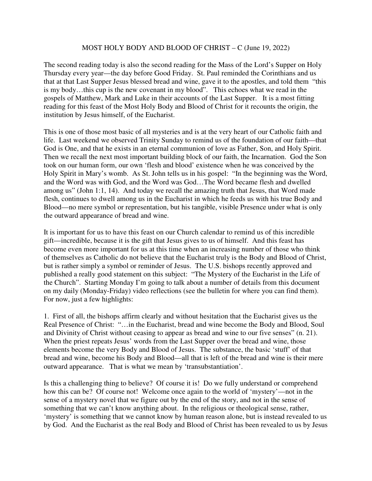## MOST HOLY BODY AND BLOOD OF CHRIST – C (June 19, 2022)

The second reading today is also the second reading for the Mass of the Lord's Supper on Holy Thursday every year—the day before Good Friday. St. Paul reminded the Corinthians and us that at that Last Supper Jesus blessed bread and wine, gave it to the apostles, and told them "this is my body…this cup is the new covenant in my blood". This echoes what we read in the gospels of Matthew, Mark and Luke in their accounts of the Last Supper. It is a most fitting reading for this feast of the Most Holy Body and Blood of Christ for it recounts the origin, the institution by Jesus himself, of the Eucharist.

This is one of those most basic of all mysteries and is at the very heart of our Catholic faith and life. Last weekend we observed Trinity Sunday to remind us of the foundation of our faith—that God is One, and that he exists in an eternal communion of love as Father, Son, and Holy Spirit. Then we recall the next most important building block of our faith, the Incarnation. God the Son took on our human form, our own 'flesh and blood' existence when he was conceived by the Holy Spirit in Mary's womb. As St. John tells us in his gospel: "In the beginning was the Word, and the Word was with God, and the Word was God…The Word became flesh and dwelled among us" (John 1:1, 14). And today we recall the amazing truth that Jesus, that Word made flesh, continues to dwell among us in the Eucharist in which he feeds us with his true Body and Blood—no mere symbol or representation, but his tangible, visible Presence under what is only the outward appearance of bread and wine.

It is important for us to have this feast on our Church calendar to remind us of this incredible gift—incredible, because it is the gift that Jesus gives to us of himself. And this feast has become even more important for us at this time when an increasing number of those who think of themselves as Catholic do not believe that the Eucharist truly is the Body and Blood of Christ, but is rather simply a symbol or reminder of Jesus. The U.S. bishops recently approved and published a really good statement on this subject: "The Mystery of the Eucharist in the Life of the Church". Starting Monday I'm going to talk about a number of details from this document on my daily (Monday-Friday) video reflections (see the bulletin for where you can find them). For now, just a few highlights:

1. First of all, the bishops affirm clearly and without hesitation that the Eucharist gives us the Real Presence of Christ: "…in the Eucharist, bread and wine become the Body and Blood, Soul and Divinity of Christ without ceasing to appear as bread and wine to our five senses" (n. 21). When the priest repeats Jesus' words from the Last Supper over the bread and wine, those elements become the very Body and Blood of Jesus. The substance, the basic 'stuff' of that bread and wine, become his Body and Blood—all that is left of the bread and wine is their mere outward appearance. That is what we mean by 'transubstantiation'.

Is this a challenging thing to believe? Of course it is! Do we fully understand or comprehend how this can be? Of course not! Welcome once again to the world of 'mystery'—not in the sense of a mystery novel that we figure out by the end of the story, and not in the sense of something that we can't know anything about. In the religious or theological sense, rather, 'mystery' is something that we cannot know by human reason alone, but is instead revealed to us by God. And the Eucharist as the real Body and Blood of Christ has been revealed to us by Jesus